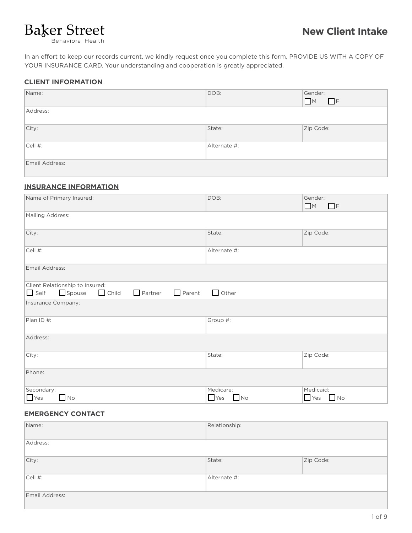In an effort to keep our records current, we kindly request once you complete this form, PROVIDE US WITH A COPY OF YOUR INSURANCE CARD. Your understanding and cooperation is greatly appreciated.

### **CLIENT INFORMATION**

| Name:          | DOB:         | Gender:<br>M<br>$\Box$ F |
|----------------|--------------|--------------------------|
| Address:       |              |                          |
| City:          | State:       | Zip Code:                |
| Cell #:        | Alternate #: |                          |
| Email Address: |              |                          |

### **INSURANCE INFORMATION**

| Name of Primary Insured:                                                 | DOB:         | Gender:<br>M<br>$\Box$ F |  |  |
|--------------------------------------------------------------------------|--------------|--------------------------|--|--|
| Mailing Address:                                                         |              |                          |  |  |
| City:                                                                    | State:       | Zip Code:                |  |  |
| Cell #:                                                                  | Alternate #: |                          |  |  |
| Email Address:                                                           |              |                          |  |  |
| Client Relationship to Insured:                                          |              |                          |  |  |
| Spouse<br>$\Box$ Self<br>$\Box$ Child<br>$\Box$ Parent<br>$\Box$ Partner | Other        |                          |  |  |
| Insurance Company:                                                       |              |                          |  |  |
| Plan ID #:                                                               | Group #:     |                          |  |  |
| Address:                                                                 |              |                          |  |  |
| City:                                                                    | State:       | Zip Code:                |  |  |
| Phone:                                                                   |              |                          |  |  |
| Secondary:                                                               | Medicare:    | Medicaid:                |  |  |
| $\Box$ Yes<br>$\Box$ No                                                  | $Yes$ No     | $Yes$ No                 |  |  |

### **EMERGENCY CONTACT**

| Name:          | Relationship: |           |
|----------------|---------------|-----------|
| Address:       |               |           |
| City:          | State:        | Zip Code: |
| Cell #:        | Alternate #:  |           |
| Email Address: |               |           |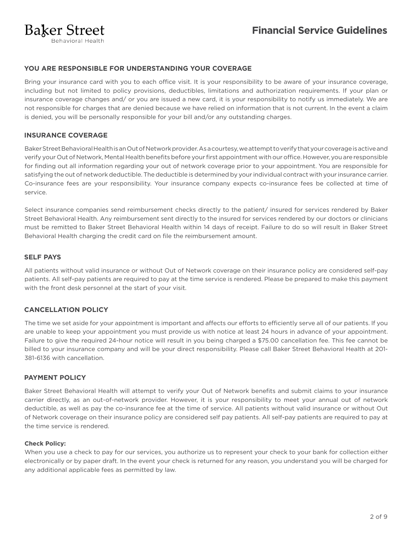### **YOU ARE RESPONSIBLE FOR UNDERSTANDING YOUR COVERAGE**

Bring your insurance card with you to each office visit. It is your responsibility to be aware of your insurance coverage, including but not limited to policy provisions, deductibles, limitations and authorization requirements. If your plan or insurance coverage changes and/ or you are issued a new card, it is your responsibility to notify us immediately. We are not responsible for charges that are denied because we have relied on information that is not current. In the event a claim is denied, you will be personally responsible for your bill and/or any outstanding charges.

### **INSURANCE COVERAGE**

Baker Street Behavioral Health is an Out of Network provider. As a courtesy, we attempt to verify that your coverage is active and verify your Out of Network, Mental Health benefits before your first appointment with our office. However, you are responsible for finding out all information regarding your out of network coverage prior to your appointment. You are responsible for satisfying the out of network deductible. The deductible is determined by your individual contract with your insurance carrier. Co-insurance fees are your responsibility. Your insurance company expects co-insurance fees be collected at time of service.

Select insurance companies send reimbursement checks directly to the patient/ insured for services rendered by Baker Street Behavioral Health. Any reimbursement sent directly to the insured for services rendered by our doctors or clinicians must be remitted to Baker Street Behavioral Health within 14 days of receipt. Failure to do so will result in Baker Street Behavioral Health charging the credit card on file the reimbursement amount.

### **SELF PAYS**

All patients without valid insurance or without Out of Network coverage on their insurance policy are considered self-pay patients. All self-pay patients are required to pay at the time service is rendered. Please be prepared to make this payment with the front desk personnel at the start of your visit.

### **CANCELLATION POLICY**

The time we set aside for your appointment is important and affects our efforts to efficiently serve all of our patients. If you are unable to keep your appointment you must provide us with notice at least 24 hours in advance of your appointment. Failure to give the required 24-hour notice will result in you being charged a \$75.00 cancellation fee. This fee cannot be billed to your insurance company and will be your direct responsibility. Please call Baker Street Behavioral Health at 201- 381-6136 with cancellation.

### **PAYMENT POLICY**

Baker Street Behavioral Health will attempt to verify your Out of Network benefits and submit claims to your insurance carrier directly, as an out-of-network provider. However, it is your responsibility to meet your annual out of network deductible, as well as pay the co-insurance fee at the time of service. All patients without valid insurance or without Out of Network coverage on their insurance policy are considered self pay patients. All self-pay patients are required to pay at the time service is rendered.

### **Check Policy:**

When you use a check to pay for our services, you authorize us to represent your check to your bank for collection either electronically or by paper draft. In the event your check is returned for any reason, you understand you will be charged for any additional applicable fees as permitted by law.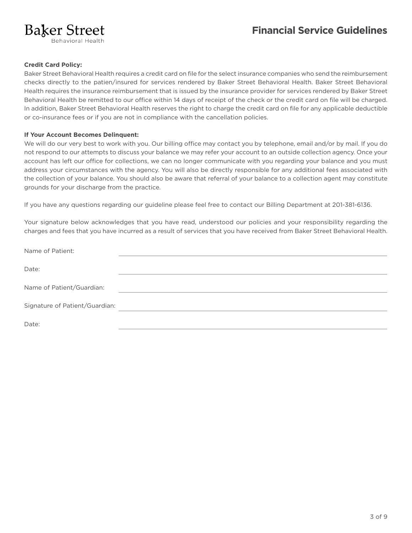### **Baker Street Behavioral Health**

**Credit Card Policy:** 

Baker Street Behavioral Health requires a credit card on file for the select insurance companies who send the reimbursement checks directly to the patien/insured for services rendered by Baker Street Behavioral Health. Baker Street Behavioral Health requires the insurance reimbursement that is issued by the insurance provider for services rendered by Baker Street Behavioral Health be remitted to our office within 14 days of receipt of the check or the credit card on file will be charged. In addition, Baker Street Behavioral Health reserves the right to charge the credit card on file for any applicable deductible or co-insurance fees or if you are not in compliance with the cancellation policies.

#### **If Your Account Becomes Delinquent:**

We will do our very best to work with you. Our billing office may contact you by telephone, email and/or by mail. If you do not respond to our attempts to discuss your balance we may refer your account to an outside collection agency. Once your account has left our office for collections, we can no longer communicate with you regarding your balance and you must address your circumstances with the agency. You will also be directly responsible for any additional fees associated with the collection of your balance. You should also be aware that referral of your balance to a collection agent may constitute grounds for your discharge from the practice.

If you have any questions regarding our guideline please feel free to contact our Billing Department at 201-381-6136.

Your signature below acknowledges that you have read, understood our policies and your responsibility regarding the charges and fees that you have incurred as a result of services that you have received from Baker Street Behavioral Health.

| Name of Patient:               |  |
|--------------------------------|--|
| Date:                          |  |
| Name of Patient/Guardian:      |  |
| Signature of Patient/Guardian: |  |
| Date:                          |  |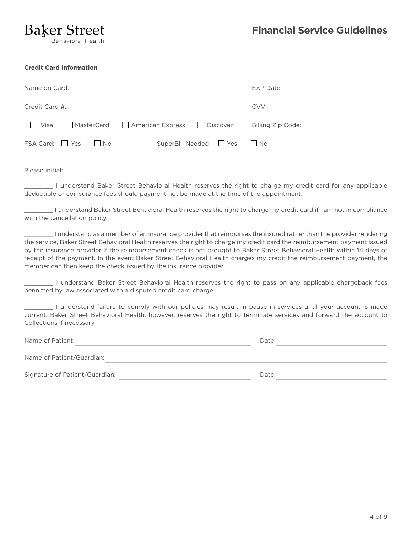#### **Credit Card Information**

| Name on Card:  |                        |  | EXP Date:                                  |                           |                   |  |
|----------------|------------------------|--|--------------------------------------------|---------------------------|-------------------|--|
| Credit Card #: |                        |  |                                            |                           | CVV:              |  |
|                |                        |  | Visa MasterCard American Express DDiscover |                           | Billing Zip Code: |  |
|                | $FSA Card:$ $Yes$ $No$ |  |                                            | SuperBill Needed: Yes ΠNo |                   |  |

Please initial:

\_\_\_\_\_\_\_\_ I understand Baker Street Behavioral Health reserves the right to charge my credit card for any applicable deductible or coinsurance fees should payment not be made at the time of the appointment.

\_\_\_\_\_\_\_\_ I understand Baker Street Behavioral Health reserves the right to charge my credit card if I am not in compliance with the cancellation policy.

\_\_\_\_\_\_\_\_ I understand as a member of an insurance provider that reimburses the insured rather than the provider rendering the service, Baker Street Behavioral Health reserves the right to charge my credit card the reimbursement payment issued by the insurance provider if the reimbursement check is not brought to Baker Street Behavioral Health within 14 days of receipt of the payment. In the event Baker Street Behavioral Health charges my credit the reimbursement payment, the member can then keep the check issued by the insurance provider.

\_\_\_\_\_\_\_\_ I understand Baker Street Behavioral Health reserves the right to pass on any applicable chargeback fees pennitted by law associated with a disputed credit card charge.

\_\_\_\_\_\_\_\_ I understand failure to comply with our policies may result in pause in services until your account is made current. Baker Street Behavioral Health, however, reserves the right to terminate services and forward the account to Collections if necessary

| Name of Patient:               | Date: |  |
|--------------------------------|-------|--|
| Name of Patient/Guardian:      |       |  |
| Signature of Patient/Guardian: | Date: |  |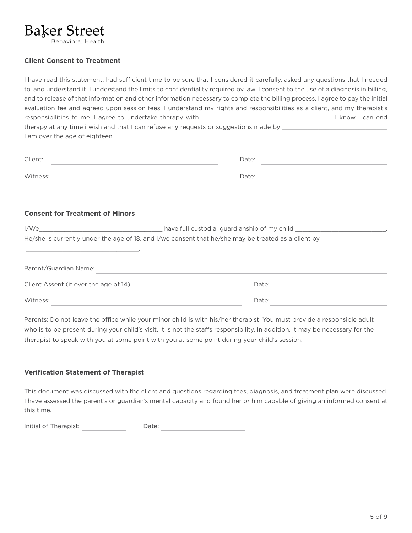### **Client Consent to Treatment**

I have read this statement, had sufficient time to be sure that I considered it carefully, asked any questions that I needed to, and understand it. I understand the limits to confidentiality required by law. I consent to the use of a diagnosis in billing, and to release of that information and other information necessary to complete the billing process. I agree to pay the initial evaluation fee and agreed upon session fees. I understand my rights and responsibilities as a client, and my therapist's responsibilities to me. I agree to undertake therapy with \_\_\_\_\_\_\_\_\_\_\_\_\_\_\_\_\_\_\_\_\_\_\_\_\_\_\_\_\_\_\_\_\_\_\_\_ I know I can end therapy at any time i wish and that I can refuse any requests or suggestions made by \_\_\_\_\_\_\_\_\_\_\_\_\_\_\_\_\_\_\_\_\_\_\_\_\_ I am over the age of eighteen.

| Client:  | Date: |
|----------|-------|
| Witness: | Date: |

### **Consent for Treatment of Minors**

| I/We                                   | have full custodial guardianship of my child                                                        |  |  |
|----------------------------------------|-----------------------------------------------------------------------------------------------------|--|--|
|                                        | He/she is currently under the age of 18, and I/we consent that he/she may be treated as a client by |  |  |
|                                        |                                                                                                     |  |  |
| Parent/Guardian Name:                  |                                                                                                     |  |  |
| Client Assent (if over the age of 14): | Date:                                                                                               |  |  |
| Witness:                               | Date:                                                                                               |  |  |

Parents: Do not leave the office while your minor child is with his/her therapist. You must provide a responsible adult who is to be present during your child's visit. It is not the staffs responsibility. In addition, it may be necessary for the therapist to speak with you at some point with you at some point during your child's session.

### **Verification Statement of Therapist**

This document was discussed with the client and questions regarding fees, diagnosis, and treatment plan were discussed. I have assessed the parent's or guardian's mental capacity and found her or him capable of giving an informed consent at this time.

Initial of Therapist: Date: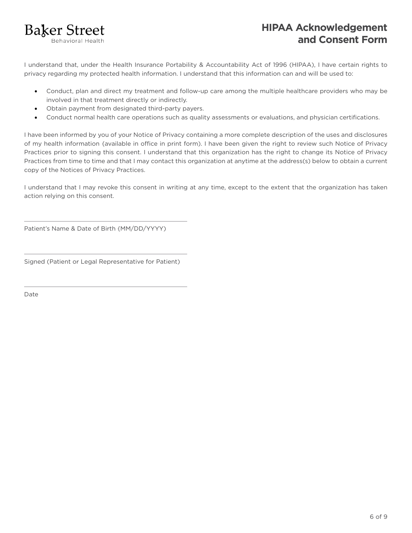

## **HIPAA Acknowledgement and Consent Form**

I understand that, under the Health Insurance Portability & Accountability Act of 1996 (HIPAA), I have certain rights to privacy regarding my protected health information. I understand that this information can and will be used to:

- Conduct, plan and direct my treatment and follow-up care among the multiple healthcare providers who may be involved in that treatment directly or indirectly.
- Obtain payment from designated third-party payers.
- Conduct normal health care operations such as quality assessments or evaluations, and physician certifications.

I have been informed by you of your Notice of Privacy containing a more complete description of the uses and disclosures of my health information {available in office in print form). I have been given the right to review such Notice of Privacy Practices prior to signing this consent. I understand that this organization has the right to change its Notice of Privacy Practices from time to time and that I may contact this organization at anytime at the address(s) below to obtain a current copy of the Notices of Privacy Practices.

I understand that I may revoke this consent in writing at any time, except to the extent that the organization has taken action relying on this consent.

Patient's Name & Date of Birth {MM/DD/YYYY)

Signed (Patient or Legal Representative for Patient)

Date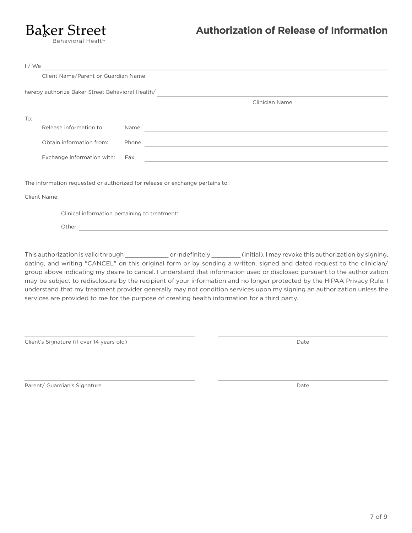Behavioral Health

## **Authorization of Release of Information**

| I/We                                                                         |                                                  |                                     |                                                                                                     |  |
|------------------------------------------------------------------------------|--------------------------------------------------|-------------------------------------|-----------------------------------------------------------------------------------------------------|--|
|                                                                              |                                                  | Client Name/Parent or Guardian Name |                                                                                                     |  |
|                                                                              |                                                  |                                     |                                                                                                     |  |
|                                                                              | hereby authorize Baker Street Behavioral Health/ |                                     |                                                                                                     |  |
|                                                                              |                                                  |                                     | <b>Clinician Name</b>                                                                               |  |
| To:                                                                          |                                                  |                                     |                                                                                                     |  |
|                                                                              | Release information to:                          |                                     | Name:<br><u> 1989 - John Stein, Amerikaansk politiker (* 1908)</u>                                  |  |
|                                                                              |                                                  |                                     |                                                                                                     |  |
|                                                                              | Obtain information from:                         |                                     | Phone:<br>the control of the control of the control of the control of the control of the control of |  |
|                                                                              | Exchange information with:                       |                                     | Fax:                                                                                                |  |
|                                                                              |                                                  |                                     |                                                                                                     |  |
| The information requested or authorized for release or exchange pertains to: |                                                  |                                     |                                                                                                     |  |
|                                                                              | Client Name:                                     |                                     |                                                                                                     |  |
|                                                                              |                                                  |                                     |                                                                                                     |  |
|                                                                              | Clinical information pertaining to treatment:    |                                     |                                                                                                     |  |
|                                                                              | Other:                                           |                                     |                                                                                                     |  |
|                                                                              |                                                  |                                     |                                                                                                     |  |

This authorization is valid through \_\_\_\_\_\_\_\_\_\_\_\_\_\_\_ or indefinitely \_\_\_\_\_\_\_\_\_(initial). I may revoke this authorization by signing, dating, and writing "CANCEL" on this original form or by sending a written, signed and dated request to the clinician/ group above indicating my desire to cancel. I understand that information used or disclosed pursuant to the authorization may be subject to redisclosure by the recipient of your information and no longer protected by the HIPAA Privacy Rule. I understand that my treatment provider generally may not condition services upon my signing an authorization unless the services are provided to me for the purpose of creating health information for a third party.

Client's Signature (if over 14 years old)

Date

Parent/ Guardian's Signature

Date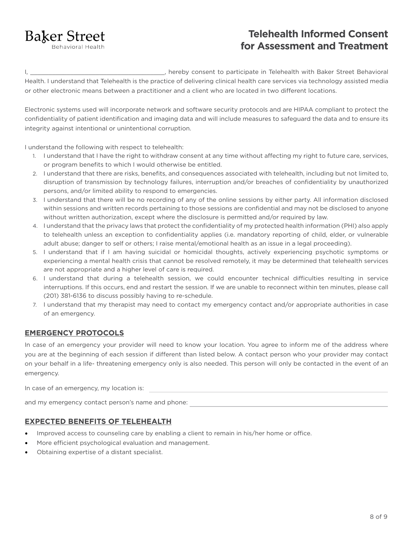**Behavioral Health** 

## **Telehealth Informed Consent for Assessment and Treatment**

I, \_\_\_\_\_\_\_\_\_\_\_\_\_\_\_\_\_\_\_\_\_\_\_\_\_\_\_\_\_\_\_\_\_\_\_\_\_, hereby consent to participate in Telehealth with Baker Street Behavioral Health. I understand that Telehealth is the practice of delivering clinical health care services via technology assisted media or other electronic means between a practitioner and a client who are located in two different locations.

Electronic systems used will incorporate network and software security protocols and are HIPAA compliant to protect the confidentiality of patient identification and imaging data and will include measures to safeguard the data and to ensure its integrity against intentional or unintentional corruption.

I understand the following with respect to telehealth:

- 1. I understand that I have the right to withdraw consent at any time without affecting my right to future care, services, or program benefits to which I would otherwise be entitled.
- 2. I understand that there are risks, benefits, and consequences associated with telehealth, including but not limited to, disruption of transmission by technology failures, interruption and/or breaches of confidentiality by unauthorized persons, and/or limited ability to respond to emergencies.
- 3. I understand that there will be no recording of any of the online sessions by either party. All information disclosed within sessions and written records pertaining to those sessions are confidential and may not be disclosed to anyone without written authorization, except where the disclosure is permitted and/or required by law.
- 4. I understand that the privacy laws that protect the confidentiality of my protected health information (PHI) also apply to telehealth unless an exception to confidentiality applies (i.e. mandatory reporting of child, elder, or vulnerable adult abuse; danger to self or others; I raise mental/emotional health as an issue in a legal proceeding).
- 5. I understand that if I am having suicidal or homicidal thoughts, actively experiencing psychotic symptoms or experiencing a mental health crisis that cannot be resolved remotely, it may be determined that telehealth services are not appropriate and a higher level of care is required.
- 6. I understand that during a telehealth session, we could encounter technical difficulties resulting in service interruptions. If this occurs, end and restart the session. If we are unable to reconnect within ten minutes, please call (201) 381-6136 to discuss possibly having to re-schedule.
- 7. I understand that my therapist may need to contact my emergency contact and/or appropriate authorities in case of an emergency.

### **EMERGENCY PROTOCOLS**

In case of an emergency your provider will need to know your location. You agree to inform me of the address where you are at the beginning of each session if different than listed below. A contact person who your provider may contact on your behalf in a life- threatening emergency only is also needed. This person will only be contacted in the event of an emergency.

In case of an emergency, my location is:

and my emergency contact person's name and phone:

### **EXPECTED BENEFITS OF TELEHEALTH**

- Improved access to counseling care by enabling a client to remain in his/her home or office.
- More efficient psychological evaluation and management.
- Obtaining expertise of a distant specialist.